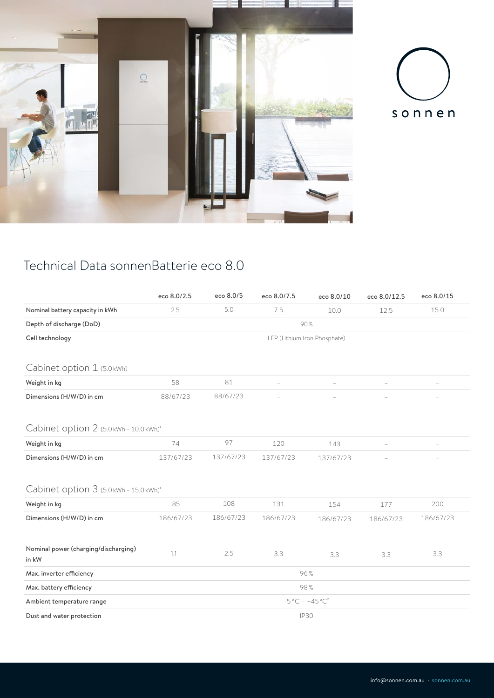



## Technical Data sonnenBatterie eco 8.0

|                                        | eco 8.0/2.5                                   | eco 8.0/5 | eco 8.0/7.5 | eco 8.0/10 | eco 8.0/12.5 | eco 8.0/15 |  |  |  |  |  |
|----------------------------------------|-----------------------------------------------|-----------|-------------|------------|--------------|------------|--|--|--|--|--|
| Nominal battery capacity in kWh        | 2.5                                           | 5.0       | 7.5         | 10.0       | 12.5         | 15.0       |  |  |  |  |  |
| Depth of discharge (DoD)               | 90%                                           |           |             |            |              |            |  |  |  |  |  |
| Cell technology                        | LFP (Lithium Iron Phosphate)                  |           |             |            |              |            |  |  |  |  |  |
|                                        |                                               |           |             |            |              |            |  |  |  |  |  |
| Cabinet option 1 (5.0kWh)              |                                               |           |             |            |              |            |  |  |  |  |  |
| Weight in kg                           | 58                                            | 81        |             |            |              |            |  |  |  |  |  |
| Dimensions (H/W/D) in cm               | 88/67/23                                      | 88/67/23  |             |            |              |            |  |  |  |  |  |
|                                        |                                               |           |             |            |              |            |  |  |  |  |  |
| Cabinet option 2 (5.0kWh-10.0kWh)'     |                                               |           |             |            |              |            |  |  |  |  |  |
| Weight in kg                           | 74                                            | 97        | 120         | 143        |              | $\equiv$   |  |  |  |  |  |
| Dimensions (H/W/D) in cm               | 137/67/23                                     | 137/67/23 | 137/67/23   | 137/67/23  |              |            |  |  |  |  |  |
|                                        |                                               |           |             |            |              |            |  |  |  |  |  |
| Cabinet option 3 (5.0 kWh - 15.0 kWh)' |                                               |           |             |            |              |            |  |  |  |  |  |
| Weight in kg                           | 85                                            | 108       | 131         | 154        | 177          | 200        |  |  |  |  |  |
| Dimensions (H/W/D) in cm               | 186/67/23                                     | 186/67/23 | 186/67/23   | 186/67/23  | 186/67/23    | 186/67/23  |  |  |  |  |  |
|                                        |                                               |           |             |            |              |            |  |  |  |  |  |
| Nominal power (charging/discharging)   | 1.1                                           | 2.5       | 3.3         | 3.3        | 3.3          | 3.3        |  |  |  |  |  |
| in kW                                  |                                               |           |             |            |              |            |  |  |  |  |  |
| Max. inverter efficiency               | 96%                                           |           |             |            |              |            |  |  |  |  |  |
| Max. battery efficiency                | 98%                                           |           |             |            |              |            |  |  |  |  |  |
| Ambient temperature range              | $-5^{\circ}$ C - $+45^{\circ}$ C <sup>2</sup> |           |             |            |              |            |  |  |  |  |  |
| Dust and water protection              | <b>IP30</b>                                   |           |             |            |              |            |  |  |  |  |  |